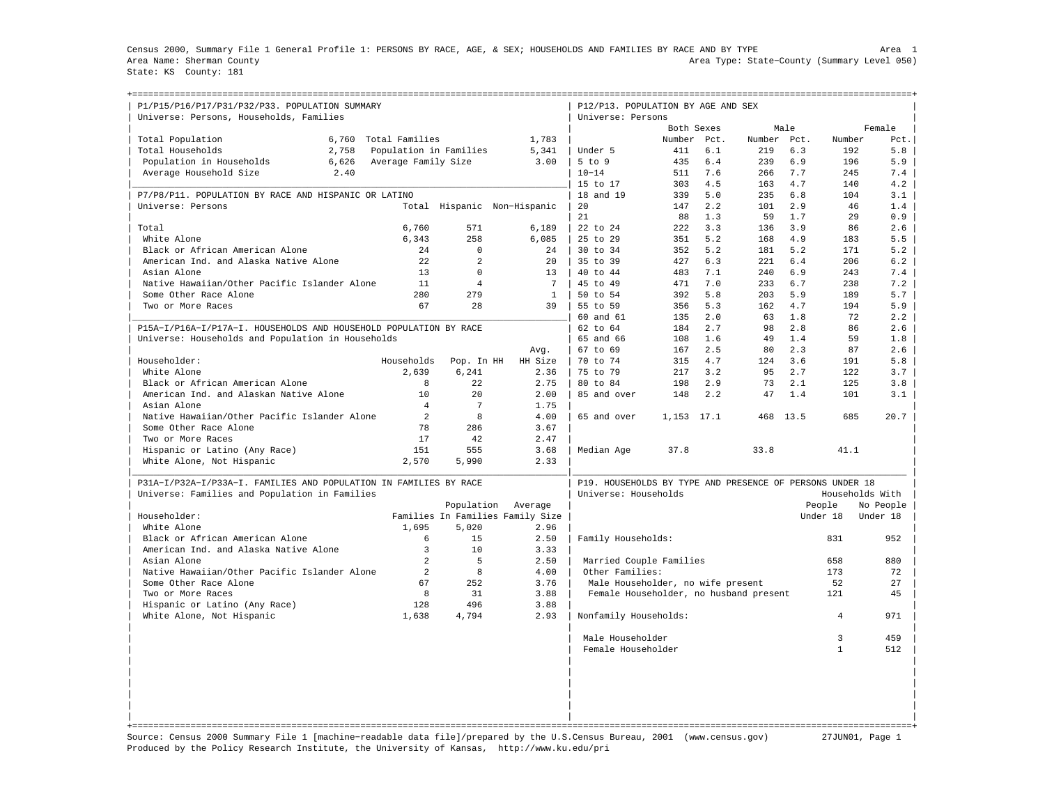Census 2000, Summary File 1 General Profile 1: PERSONS BY RACE, AGE, & SEX; HOUSEHOLDS AND FAMILIES BY RACE AND BY TYPE Area 1 Area Name: Sherman County Area Type: State−County (Summary Level 050) State: KS County: 181

+===================================================================================================================================================+

| P1/P15/P16/P17/P31/P32/P33. POPULATION SUMMARY<br>Universe: Persons, Households, Families |                        |                |                                  | P12/P13. POPULATION BY AGE AND SEX<br>Universe: Persons  |             |      |        |      |                |                 |
|-------------------------------------------------------------------------------------------|------------------------|----------------|----------------------------------|----------------------------------------------------------|-------------|------|--------|------|----------------|-----------------|
|                                                                                           |                        |                |                                  |                                                          | Both Sexes  |      |        | Male |                | Female          |
| Total Population<br>6,760                                                                 | Total Families         |                | 1,783                            |                                                          | Number      | Pct. | Number | Pct. | Number         | Pct.            |
| 2.758<br>Total Households                                                                 | Population in Families |                | 5,341                            | Under 5                                                  | 411         | 6.1  | 219    | 6.3  | 192            | 5.8             |
| Population in Households<br>6,626                                                         | Average Family Size    |                | 3.00                             | $5$ to $9$                                               | 435         | 6.4  | 239    | 6.9  | 196            | 5.9             |
| 2.40<br>Average Household Size                                                            |                        |                |                                  | $10 - 14$                                                | 511         | 7.6  | 266    | 7.7  | 245            | 7.4             |
|                                                                                           |                        |                |                                  | 15 to 17                                                 | 303         | 4.5  | 163    | 4.7  | 140            | 4.2             |
| P7/P8/P11. POPULATION BY RACE AND HISPANIC OR LATINO                                      |                        |                |                                  | 18 and 19                                                | 339         | 5.0  | 235    | 6.8  | 104            | 3.1             |
| Universe: Persons                                                                         |                        |                | Total Hispanic Non-Hispanic      | 20                                                       | 147         | 2.2  | 101    | 2.9  | 46             | 1.4             |
|                                                                                           |                        |                |                                  | 21                                                       | 88          | 1.3  | 59     | 1.7  | 29             | 0.9             |
| Total                                                                                     | 6,760                  |                |                                  |                                                          | 222         | 3.3  |        | 3.9  | 86             | 2.6             |
|                                                                                           |                        | 571            | 6,189                            | 22 to 24                                                 |             |      | 136    |      |                |                 |
| White Alone                                                                               | 6,343                  | 258            | 6,085                            | 25 to 29                                                 | 351         | 5.2  | 168    | 4.9  | 183            | 5.5             |
| Black or African American Alone                                                           | 24                     | $\mathbf 0$    | 24                               | 30 to 34                                                 | 352         | 5.2  | 181    | 5.2  | 171            | 5.2             |
| American Ind. and Alaska Native Alone                                                     | 2.2.                   | $\mathfrak{D}$ | 2.0                              | 35 to 39                                                 | 427         | 6.3  | 2.21   | 6.4  | 206            | 6.2             |
| Asian Alone                                                                               | 13                     | $\Omega$       | 13                               | 40 to 44                                                 | 483         | 7.1  | 240    | 6.9  | 243            | 7.4             |
| Native Hawaiian/Other Pacific Islander Alone                                              | 11                     | $\overline{4}$ | 7                                | 45 to 49                                                 | 471         | 7.0  | 233    | 6.7  | 238            | 7.2             |
| Some Other Race Alone                                                                     | 280                    | 279            | $\mathbf{1}$                     | 50 to 54                                                 | 392         | 5.8  | 203    | 5.9  | 189            | 5.7             |
| Two or More Races                                                                         | 67                     | 28             | 39                               | 55 to 59                                                 | 356         | 5.3  | 162    | 4.7  | 194            | 5.9             |
|                                                                                           |                        |                |                                  | 60 and 61                                                | 135         | 2.0  | 63     | 1.8  | 72             | 2.2             |
| P15A-I/P16A-I/P17A-I. HOUSEHOLDS AND HOUSEHOLD POPULATION BY RACE                         |                        |                |                                  | 62 to 64                                                 | 184         | 2.7  | 98     | 2.8  | 86             | 2.6             |
| Universe: Households and Population in Households                                         |                        |                |                                  | 65 and 66                                                | 108         | 1.6  | 49     | 1.4  | 59             | 1.8             |
|                                                                                           |                        |                | Avg.                             | 67 to 69                                                 | 167         | 2.5  | 80     | 2.3  | 87             | 2.6             |
| Householder:                                                                              | Households             | Pop. In HH     | HH Size                          | 70 to 74                                                 | 315         | 4.7  | 124    | 3.6  | 191            | 5.8             |
| White Alone                                                                               | 2,639                  | 6.241          | 2.36                             | 75 to 79                                                 | 217         | 3.2  | 95     | 2.7  | 122            | 3.7             |
| Black or African American Alone                                                           | 8                      | 2.2.           | 2.75                             | 80 to 84                                                 | 198         | 2.9  | 73     | 2.1  | 125            | 3.8             |
| American Ind. and Alaskan Native Alone                                                    | 10                     | 2.0            | 2.00                             | 85 and over                                              | 148         | 2.2  | 47     | 1.4  | 101            | 3.1             |
| Asian Alone                                                                               | $\overline{4}$         | 7              | 1.75                             |                                                          |             |      |        |      |                |                 |
| Native Hawaiian/Other Pacific Islander Alone                                              | 2                      | 8              | 4.00                             | 65 and over                                              | 1, 153 17.1 |      | 468    | 13.5 | 685            | 20.7            |
| Some Other Race Alone                                                                     | 78                     | 286            | 3.67                             |                                                          |             |      |        |      |                |                 |
| Two or More Races                                                                         | 17                     | 42             | 2.47                             |                                                          |             |      |        |      |                |                 |
| Hispanic or Latino (Any Race)                                                             | 151                    | 555            | 3.68                             | Median Age                                               | 37.8        |      | 33.8   |      | 41.1           |                 |
| White Alone, Not Hispanic                                                                 | 2,570                  | 5,990          | 2.33                             |                                                          |             |      |        |      |                |                 |
|                                                                                           |                        |                |                                  |                                                          |             |      |        |      |                |                 |
| P31A-I/P32A-I/P33A-I. FAMILIES AND POPULATION IN FAMILIES BY RACE                         |                        |                |                                  | P19. HOUSEHOLDS BY TYPE AND PRESENCE OF PERSONS UNDER 18 |             |      |        |      |                |                 |
| Universe: Families and Population in Families                                             |                        |                |                                  | Universe: Households                                     |             |      |        |      |                | Households With |
|                                                                                           |                        | Population     | Average                          |                                                          |             |      |        |      | People         | No People       |
| Householder:                                                                              |                        |                | Families In Families Family Size |                                                          |             |      |        |      | Under 18       | Under 18        |
| White Alone                                                                               | 1,695                  | 5,020          | 2.96                             |                                                          |             |      |        |      |                |                 |
| Black or African American Alone                                                           | 6                      | 1.5            | 2.50                             | Family Households:                                       |             |      |        |      | 831            | 952             |
| American Ind. and Alaska Native Alone                                                     | 3                      | 10             | 3.33                             |                                                          |             |      |        |      |                |                 |
| Asian Alone                                                                               | 2                      | 5              | 2.50                             | Married Couple Families                                  |             |      |        |      | 658            | 880             |
| Native Hawaiian/Other Pacific Islander Alone                                              | 2                      | 8              | 4.00                             | Other Families:                                          |             |      |        |      | 173            | 72              |
| Some Other Race Alone                                                                     | 67                     | 252            | 3.76                             | Male Householder, no wife present                        |             |      |        |      | 52             | 27              |
| Two or More Races                                                                         | 8                      | 31             | 3.88                             | Female Householder, no husband present                   |             |      |        |      | 121            | 45              |
| Hispanic or Latino (Any Race)                                                             | 128                    | 496            | 3.88                             |                                                          |             |      |        |      |                |                 |
| White Alone, Not Hispanic                                                                 | 1,638                  | 4,794          | 2.93                             | Nonfamily Households:                                    |             |      |        |      | $\overline{4}$ | 971             |
|                                                                                           |                        |                |                                  |                                                          |             |      |        |      | 3              |                 |
|                                                                                           |                        |                |                                  | Male Householder<br>Female Householder                   |             |      |        |      | $\mathbf{1}$   | 459<br>512      |
|                                                                                           |                        |                |                                  |                                                          |             |      |        |      |                |                 |
|                                                                                           |                        |                |                                  |                                                          |             |      |        |      |                |                 |
|                                                                                           |                        |                |                                  |                                                          |             |      |        |      |                |                 |
|                                                                                           |                        |                |                                  |                                                          |             |      |        |      |                |                 |
|                                                                                           |                        |                |                                  |                                                          |             |      |        |      |                |                 |
|                                                                                           |                        |                |                                  |                                                          |             |      |        |      |                |                 |
|                                                                                           |                        |                |                                  |                                                          |             |      |        |      |                |                 |
|                                                                                           |                        |                |                                  |                                                          |             |      |        |      |                |                 |

Source: Census 2000 Summary File 1 [machine−readable data file]/prepared by the U.S.Census Bureau, 2001 (www.census.gov) 27JUN01, Page 1 Produced by the Policy Research Institute, the University of Kansas, http://www.ku.edu/pri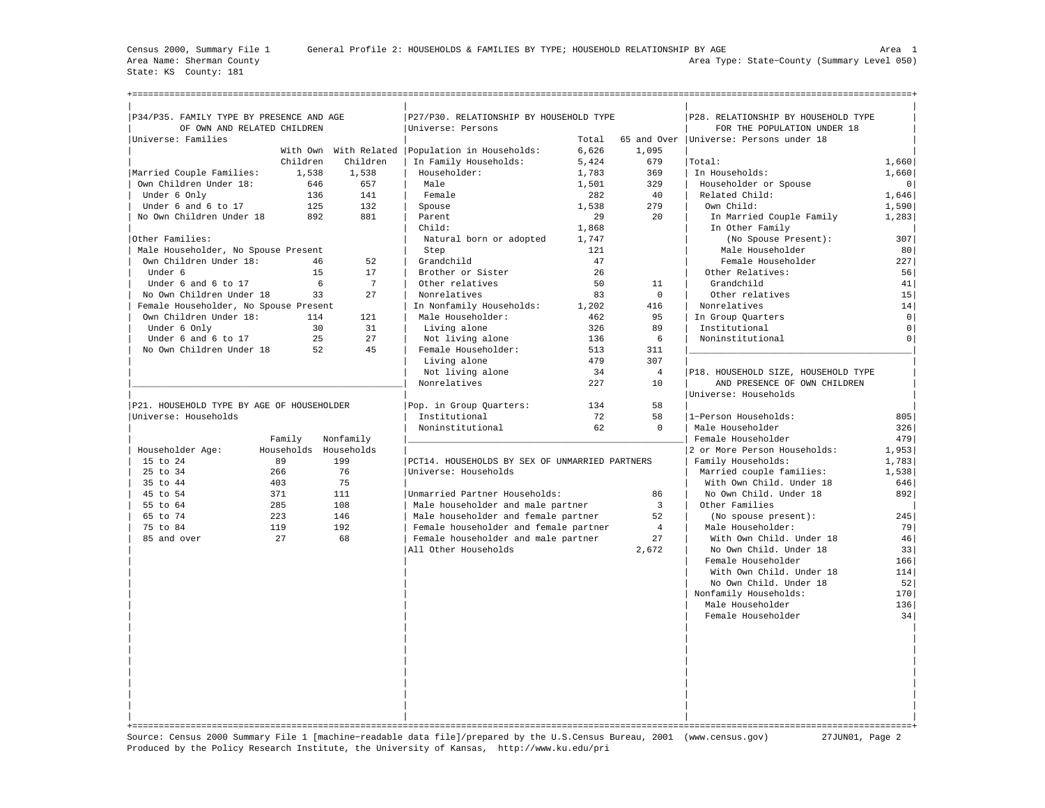State: KS County: 181

| P34/P35. FAMILY TYPE BY PRESENCE AND AGE  |                   |                       | P27/P30. RELATIONSHIP BY HOUSEHOLD TYPE           |       |                | P28. RELATIONSHIP BY HOUSEHOLD TYPE      |                |  |  |  |
|-------------------------------------------|-------------------|-----------------------|---------------------------------------------------|-------|----------------|------------------------------------------|----------------|--|--|--|
| OF OWN AND RELATED CHILDREN               |                   |                       | Universe: Persons                                 |       |                | FOR THE POPULATION UNDER 18              |                |  |  |  |
| Universe: Families                        |                   |                       |                                                   | Total | 1,095          | 65 and Over   Universe: Persons under 18 |                |  |  |  |
|                                           |                   |                       | With Own With Related   Population in Households: | 6,626 |                |                                          |                |  |  |  |
| Married Couple Families:                  | Children<br>1,538 | Children<br>1,538     | In Family Households:<br>Householder:             | 5,424 | 679<br>369     | Total:<br>In Households:                 | 1,660          |  |  |  |
|                                           |                   |                       |                                                   | 1,783 |                |                                          | 1,660          |  |  |  |
| Own Children Under 18:                    | 646               | 657                   | Male                                              | 1,501 | 329            | Householder or Spouse                    | 0              |  |  |  |
| Under 6 Only                              | 136<br>125        | 141<br>132            | Female                                            | 282   | 40<br>279      | Related Child:<br>Own Child:             | 1,646          |  |  |  |
| Under 6 and 6 to 17                       |                   |                       | Spouse                                            | 1,538 |                |                                          | 1,590          |  |  |  |
| No Own Children Under 18                  | 892               | 881                   | Parent                                            | 29    | 20             | In Married Couple Family                 | 1,283          |  |  |  |
|                                           |                   |                       | Child:                                            | 1,868 |                | In Other Family                          |                |  |  |  |
| Other Families:                           |                   |                       | Natural born or adopted                           | 1,747 |                | (No Spouse Present):                     | 307            |  |  |  |
| Male Householder, No Spouse Present       |                   |                       | Step                                              | 121   |                | Male Householder                         | 80             |  |  |  |
| Own Children Under 18:                    | 46                | 52                    | Grandchild                                        | 47    |                | Female Householder                       | 227            |  |  |  |
| Under 6                                   | 15                | 17                    | Brother or Sister                                 | 26    |                | Other Relatives:                         | 56             |  |  |  |
| Under 6 and 6 to 17                       | 6                 | $7\phantom{.0}$       | Other relatives                                   | 50    | 11             | Grandchild                               | 41             |  |  |  |
| No Own Children Under 18                  | 33                | 27                    | Nonrelatives                                      | 83    | $\mathbf 0$    | Other relatives                          | 15             |  |  |  |
| Female Householder, No Spouse Present     |                   |                       | In Nonfamily Households:                          | 1,202 | 416            | Nonrelatives                             | 14             |  |  |  |
| Own Children Under 18:                    | 114               | 121                   | Male Householder:                                 | 462   | 95             | In Group Quarters                        | $\circ$        |  |  |  |
| Under 6 Only                              | 30                | 31                    | Living alone                                      | 326   | 89             | Institutional                            | $\circ$        |  |  |  |
| Under 6 and 6 to 17                       | 25                | 27                    | Not living alone                                  | 136   | 6              | Noninstitutional                         | 0 <sup>1</sup> |  |  |  |
| No Own Children Under 18                  | 52                | 45                    | Female Householder:                               | 513   | 311            |                                          |                |  |  |  |
|                                           |                   |                       | Living alone                                      | 479   | 307            |                                          |                |  |  |  |
|                                           |                   |                       | Not living alone                                  | 34    | $\overline{4}$ | P18. HOUSEHOLD SIZE, HOUSEHOLD TYPE      |                |  |  |  |
|                                           |                   |                       | Nonrelatives                                      | 227   | 10             | AND PRESENCE OF OWN CHILDREN             |                |  |  |  |
|                                           |                   |                       |                                                   |       |                | Universe: Households                     |                |  |  |  |
| P21. HOUSEHOLD TYPE BY AGE OF HOUSEHOLDER |                   |                       | Pop. in Group Quarters:                           | 134   | 58             |                                          |                |  |  |  |
| Universe: Households                      |                   |                       | Institutional                                     | 72    | 58             | 1-Person Households:                     | 805            |  |  |  |
|                                           |                   |                       | Noninstitutional                                  | 62    | $\Omega$       | Male Householder                         | 326            |  |  |  |
|                                           | Family            | Nonfamily             |                                                   |       |                | Female Householder                       | 479            |  |  |  |
| Householder Age:                          |                   | Households Households |                                                   |       |                | 2 or More Person Households:             | 1,953          |  |  |  |
| 15 to 24                                  | 89                | 199                   | PCT14. HOUSEHOLDS BY SEX OF UNMARRIED PARTNERS    |       |                | Family Households:                       | 1,783          |  |  |  |
| 25 to 34                                  | 266               | 76                    | Universe: Households                              |       |                | Married couple families:                 | 1,538          |  |  |  |
| 35 to 44                                  | 403               | 75                    |                                                   |       |                | With Own Child. Under 18                 | 646            |  |  |  |
| 45 to 54                                  | 371               | 111                   | Unmarried Partner Households:                     |       | 86             | No Own Child. Under 18                   | 892            |  |  |  |
| 55 to 64                                  | 285               | 108                   | Male householder and male partner                 |       | $\overline{3}$ | Other Families                           |                |  |  |  |
| 65 to 74                                  | 223               | 146                   | Male householder and female partner               |       | 52             | (No spouse present):                     | 245            |  |  |  |
| 75 to 84                                  | 119               | 192                   | Female householder and female partner             |       | $\overline{4}$ | Male Householder:                        | 79             |  |  |  |
| 85 and over                               | 27                | 68                    | Female householder and male partner               |       | 27             | With Own Child. Under 18                 | 46             |  |  |  |
|                                           |                   |                       | All Other Households                              |       | 2,672          | No Own Child. Under 18                   | 33             |  |  |  |
|                                           |                   |                       |                                                   |       |                | Female Householder                       | 166            |  |  |  |
|                                           |                   |                       |                                                   |       |                | With Own Child. Under 18                 | 114            |  |  |  |
|                                           |                   |                       |                                                   |       |                | No Own Child. Under 18                   | 52             |  |  |  |
|                                           |                   |                       |                                                   |       |                | Nonfamily Households:                    | 170            |  |  |  |
|                                           |                   |                       |                                                   |       |                | Male Householder                         | 136            |  |  |  |
|                                           |                   |                       |                                                   |       |                | Female Householder                       | 34             |  |  |  |
|                                           |                   |                       |                                                   |       |                |                                          |                |  |  |  |
|                                           |                   |                       |                                                   |       |                |                                          |                |  |  |  |
|                                           |                   |                       |                                                   |       |                |                                          |                |  |  |  |
|                                           |                   |                       |                                                   |       |                |                                          |                |  |  |  |
|                                           |                   |                       |                                                   |       |                |                                          |                |  |  |  |
|                                           |                   |                       |                                                   |       |                |                                          |                |  |  |  |
|                                           |                   |                       |                                                   |       |                |                                          |                |  |  |  |
|                                           |                   |                       |                                                   |       |                |                                          |                |  |  |  |
|                                           |                   |                       |                                                   |       |                |                                          |                |  |  |  |
|                                           |                   |                       |                                                   |       |                |                                          |                |  |  |  |

Source: Census 2000 Summary File 1 [machine−readable data file]/prepared by the U.S.Census Bureau, 2001 (www.census.gov) 27JUN01, Page 2 Produced by the Policy Research Institute, the University of Kansas, http://www.ku.edu/pri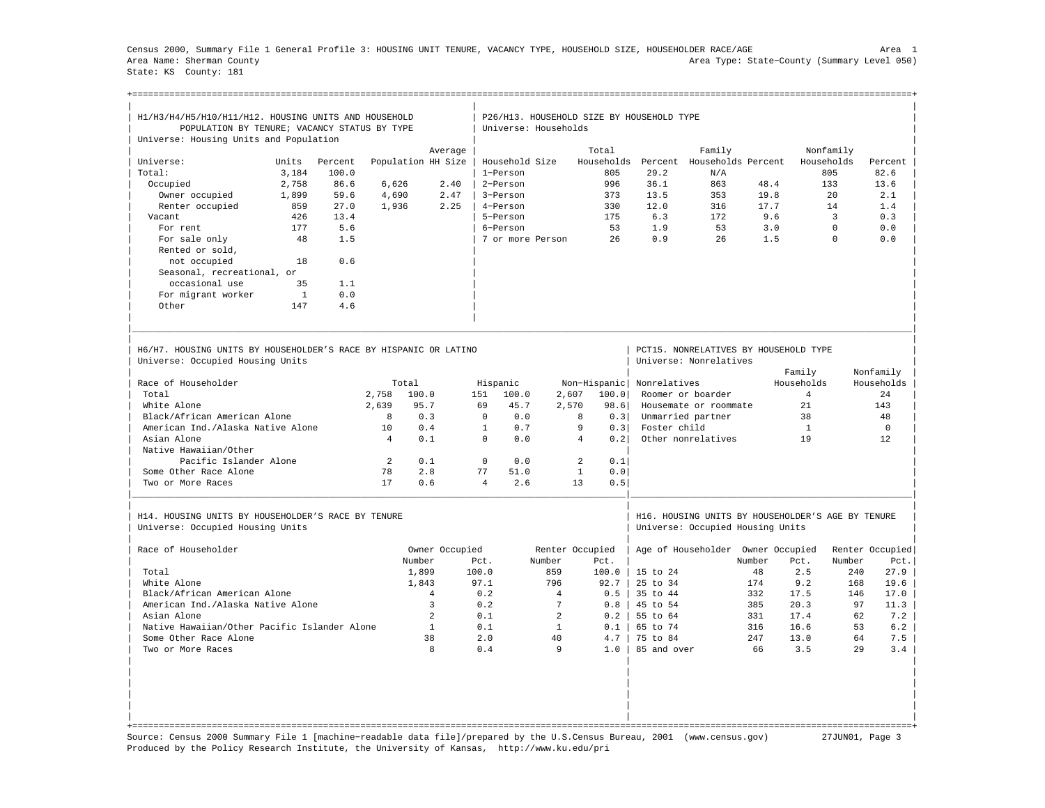Census 2000, Summary File 1 General Profile 3: HOUSING UNIT TENURE, VACANCY TYPE, HOUSEHOLD SIZE, HOUSEHOLDER RACE/AGE Area 1 Area Name: Sherman County Area Type: State−County (Summary Level 050) State: KS County: 181

+===================================================================================================================================================+

| H1/H3/H4/H5/H10/H11/H12. HOUSING UNITS AND HOUSEHOLD                                                 |              |         |                |                    |                |                      |                 | P26/H13. HOUSEHOLD SIZE BY HOUSEHOLD TYPE |                     |                                                                                       |        |                |            |                 |
|------------------------------------------------------------------------------------------------------|--------------|---------|----------------|--------------------|----------------|----------------------|-----------------|-------------------------------------------|---------------------|---------------------------------------------------------------------------------------|--------|----------------|------------|-----------------|
| POPULATION BY TENURE; VACANCY STATUS BY TYPE                                                         |              |         |                |                    |                | Universe: Households |                 |                                           |                     |                                                                                       |        |                |            |                 |
| Universe: Housing Units and Population                                                               |              |         |                |                    |                |                      |                 |                                           |                     |                                                                                       |        |                |            |                 |
|                                                                                                      |              |         |                |                    | Average        |                      |                 | Total                                     |                     | Family                                                                                |        |                | Nonfamily  |                 |
| Universe:                                                                                            | Units        | Percent |                | Population HH Size |                | Household Size       |                 | Households                                | Percent             | Households Percent                                                                    |        |                | Households | Percent         |
| Total:                                                                                               | 3,184        | 100.0   |                |                    |                | 1-Person             |                 | 805                                       | 29.2                | N/A                                                                                   |        |                | 805        | 82.6            |
| Occupied                                                                                             | 2,758        | 86.6    | 6,626          |                    | 2.40           | 2-Person             |                 | 996                                       | 36.1                | 863                                                                                   | 48.4   |                | 133        | 13.6            |
| Owner occupied                                                                                       | 1,899        | 59.6    | 4,690          |                    | 2.47           | 3-Person             |                 | 373                                       | 13.5                | 353                                                                                   | 19.8   |                | 20         | 2.1             |
| Renter occupied                                                                                      | 859          | 27.0    | 1,936          |                    | 2.25           | 4-Person             |                 | 330                                       | 12.0                | 316                                                                                   | 17.7   |                | 14         | 1.4             |
| Vacant                                                                                               | 426          | 13.4    |                |                    |                | 5-Person             |                 | 175                                       | 6.3                 | 172                                                                                   | 9.6    |                | 3          | 0.3             |
| For rent                                                                                             | 177          | 5.6     |                |                    |                | 6-Person             |                 | 53                                        | 1.9                 | 53                                                                                    | 3.0    |                | $\Omega$   | 0.0             |
| For sale only                                                                                        | 48           | 1.5     |                |                    |                | 7 or more Person     |                 | 26                                        | 0.9                 | 26                                                                                    | 1.5    |                | $\Omega$   | 0.0             |
| Rented or sold,                                                                                      |              |         |                |                    |                |                      |                 |                                           |                     |                                                                                       |        |                |            |                 |
| not occupied                                                                                         | 18           | 0.6     |                |                    |                |                      |                 |                                           |                     |                                                                                       |        |                |            |                 |
| Seasonal, recreational, or                                                                           |              |         |                |                    |                |                      |                 |                                           |                     |                                                                                       |        |                |            |                 |
| occasional use                                                                                       | 35           | 1.1     |                |                    |                |                      |                 |                                           |                     |                                                                                       |        |                |            |                 |
| For migrant worker                                                                                   | $\mathbf{1}$ | 0.0     |                |                    |                |                      |                 |                                           |                     |                                                                                       |        |                |            |                 |
| Other                                                                                                | 147          | 4.6     |                |                    |                |                      |                 |                                           |                     |                                                                                       |        |                |            |                 |
|                                                                                                      |              |         |                |                    |                |                      |                 |                                           |                     |                                                                                       |        |                |            |                 |
| H6/H7, HOUSING UNITS BY HOUSEHOLDER'S RACE BY HISPANIC OR LATINO<br>Universe: Occupied Housing Units |              |         |                |                    |                |                      |                 |                                           |                     | PCT15. NONRELATIVES BY HOUSEHOLD TYPE<br>Universe: Nonrelatives                       |        |                |            |                 |
|                                                                                                      |              |         |                |                    |                |                      |                 |                                           |                     |                                                                                       |        | Family         |            | Nonfamily       |
| Race of Householder                                                                                  |              |         |                | Total              |                | Hispanic             |                 | Non-Hispanic                              | Nonrelatives        |                                                                                       |        | Households     |            | Households      |
| Total                                                                                                |              |         | 2,758          | 100.0              | 151            | 100.0                | 2,607           | 100.0                                     |                     | Roomer or boarder                                                                     |        | $\overline{4}$ |            | 24              |
|                                                                                                      |              |         |                | 95.7               | 69             | 45.7                 |                 |                                           |                     |                                                                                       |        | 2.1            |            | 143             |
| White Alone                                                                                          |              |         | 2,639          |                    |                |                      | 2,570           | 98.6                                      |                     | Housemate or roommate                                                                 |        |                |            |                 |
| Black/African American Alone                                                                         |              |         | $\mathbf{8}$   | 0.3                | $\Omega$       | 0.0                  |                 | 8<br>0.3                                  |                     | Unmarried partner                                                                     |        | 38             |            | 48              |
| American Ind./Alaska Native Alone                                                                    |              |         | 10             | 0.4                | $\mathbf{1}$   | 0, 7                 |                 | 9<br>0.3                                  | Foster child        |                                                                                       |        | $\mathbf{1}$   |            | $\Omega$        |
| Asian Alone                                                                                          |              |         | $\overline{4}$ | 0.1                | $\Omega$       | 0.0                  |                 | $\overline{4}$<br>0.2                     |                     | Other nonrelatives                                                                    |        | 19             |            | 12              |
| Native Hawaiian/Other                                                                                |              |         |                |                    |                |                      |                 |                                           |                     |                                                                                       |        |                |            |                 |
| Pacific Islander Alone                                                                               |              |         | 2              | 0.1                | $\mathbf 0$    | 0.0                  |                 | 2<br>0.1                                  |                     |                                                                                       |        |                |            |                 |
| Some Other Race Alone                                                                                |              |         | 78             | 2.8                | 77             | 51.0                 |                 | $\mathbf{1}$<br>0.0                       |                     |                                                                                       |        |                |            |                 |
| Two or More Races                                                                                    |              |         | 17             | 0.6                | $\overline{4}$ | 2.6                  |                 | 13<br>0.5                                 |                     |                                                                                       |        |                |            |                 |
| H14. HOUSING UNITS BY HOUSEHOLDER'S RACE BY TENURE<br>Universe: Occupied Housing Units               |              |         |                |                    |                |                      |                 |                                           |                     | H16. HOUSING UNITS BY HOUSEHOLDER'S AGE BY TENURE<br>Universe: Occupied Housing Units |        |                |            |                 |
| Race of Householder                                                                                  |              |         |                |                    |                |                      |                 |                                           |                     |                                                                                       |        |                |            |                 |
|                                                                                                      |              |         |                |                    | Owner Occupied |                      |                 | Renter Occupied                           |                     | Age of Householder Owner Occupied                                                     |        |                |            | Renter Occupied |
|                                                                                                      |              |         |                | Number             | Pct.           |                      | Number          | Pct.                                      |                     |                                                                                       | Number | Pct.           | Number     | Pct.            |
| Total                                                                                                |              |         |                | 1,899              | 100.0          |                      | 859             | 100.0                                     | $15 \text{ to } 24$ |                                                                                       | 48     | 2.5            | 240        | 27.9            |
| White Alone                                                                                          |              |         |                | 1,843              | 97.1           |                      | 796             | 92.7                                      | 25 to 34            |                                                                                       | 174    | 9.2            | 168        | 19.6            |
| Black/African American Alone                                                                         |              |         |                | $\overline{4}$     | 0.2            |                      | $\overline{4}$  | 0.5                                       | 35 to 44            |                                                                                       | 332    | 17.5           | 146        | 17.0            |
| American Ind./Alaska Native Alone                                                                    |              |         |                | $\overline{3}$     | 0.2            |                      | $7\phantom{.0}$ | 0.8                                       | 45 to 54            |                                                                                       | 385    | 20.3           | 97         | 11.3            |
| Asian Alone                                                                                          |              |         |                | $\overline{2}$     | 0.1            |                      | $\overline{2}$  | 0.2                                       | 55 to 64            |                                                                                       | 331    | 17.4           | 62         | 7.2             |
| Native Hawaiian/Other Pacific Islander Alone                                                         |              |         |                | $\mathbf{1}$       | 0.1            |                      | $\mathbf{1}$    | 0.1                                       | 65 to 74            |                                                                                       | 316    | 16.6           | 53         | 6.2             |
| Some Other Race Alone                                                                                |              |         |                | 38                 | 2.0            |                      | 40              | 4.7                                       | 75 to 84            |                                                                                       | 247    | 13.0           | 64         | 7.5             |
| Two or More Races                                                                                    |              |         |                | 8                  | 0.4            |                      | 9               | 1.0                                       | 85 and over         |                                                                                       | 66     | 3.5            | 2.9        | 3.4             |
|                                                                                                      |              |         |                |                    |                |                      |                 |                                           |                     |                                                                                       |        |                |            |                 |
|                                                                                                      |              |         |                |                    |                |                      |                 |                                           |                     |                                                                                       |        |                |            |                 |

Source: Census 2000 Summary File 1 [machine−readable data file]/prepared by the U.S.Census Bureau, 2001 (www.census.gov) 27JUN01, Page 3 Produced by the Policy Research Institute, the University of Kansas, http://www.ku.edu/pri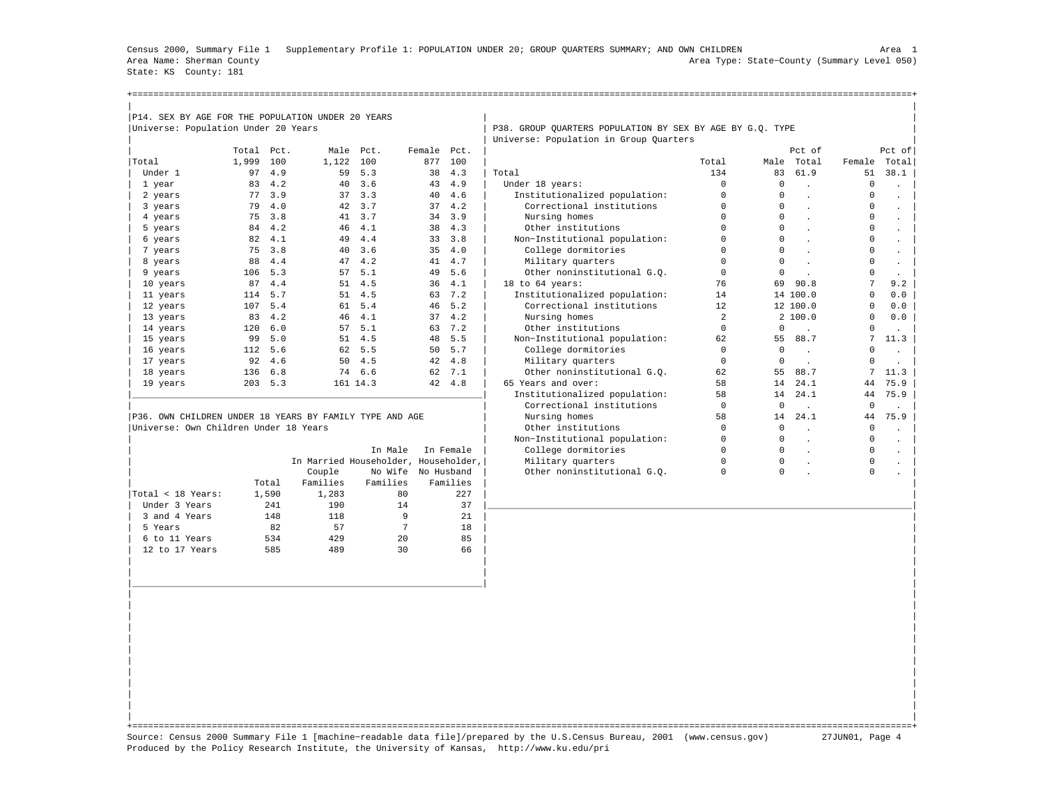Census 2000, Summary File 1 Supplementary Profile 1: POPULATION UNDER 20; GROUP QUARTERS SUMMARY; AND OWN CHILDREN Area 1 Area Name: Sherman County Area Type: State−County (Summary Level 050) State: KS County: 181

| P14. SEX BY AGE FOR THE POPULATION UNDER 20 YEARS       |       |       |                                      |          |            |           |                                                           |             |             |                      |             |                      |
|---------------------------------------------------------|-------|-------|--------------------------------------|----------|------------|-----------|-----------------------------------------------------------|-------------|-------------|----------------------|-------------|----------------------|
| Universe: Population Under 20 Years                     |       |       |                                      |          |            |           | P38. GROUP OUARTERS POPULATION BY SEX BY AGE BY G.O. TYPE |             |             |                      |             |                      |
|                                                         |       |       |                                      |          |            |           | Universe: Population in Group Quarters                    |             |             |                      |             |                      |
|                                                         | Total | Pct.  | Male                                 | Pct.     | Female     | Pct.      |                                                           |             |             | Pct of               |             | Pct of               |
| Total                                                   | 1,999 | 100   | 1,122                                | 100      | 877        | 100       |                                                           | Total       | Male        | Total                | Female      | Total                |
| Under 1                                                 | 97    | 4.9   | 59                                   | 5.3      | 38         | 4.3       | Total                                                     | 134         | 83          | 61.9                 | 51          | 38.1                 |
| 1 year                                                  | 83    | 4.2   | 40                                   | 3.6      | 43         | 4.9       | Under 18 years:                                           | $\Omega$    | $\mathbf 0$ |                      | $^{\circ}$  |                      |
| 2 years                                                 | 77    | 3.9   | 37                                   | 3.3      | 40         | 4.6       | Institutionalized population:                             | $\Omega$    | $\Omega$    |                      | $^{\circ}$  |                      |
| 3 years                                                 | 79    | 4.0   | 42                                   | 3.7      | 37         | 4.2       | Correctional institutions                                 | $\Omega$    | $\Omega$    |                      | $^{\circ}$  |                      |
| 4 years                                                 | 75    | 3.8   | 41                                   | 3.7      | 34         | 3.9       | Nursing homes                                             | $\Omega$    | $\Omega$    | $\sim$               | 0           |                      |
| 5 years                                                 | 84    | 4.2   | 46                                   | 4.1      | 38         | 4.3       | Other institutions                                        | $\Omega$    | $\Omega$    | $\ddot{\phantom{a}}$ | $^{\circ}$  |                      |
| 6 years                                                 | 82    | 4.1   | 49                                   | 4.4      | 33         | 3.8       | Non-Institutional population:                             | $\mathbf 0$ | $\Omega$    |                      | 0           |                      |
| 7 years                                                 | 75    | 3.8   | 40                                   | 3.6      | 35         | 4.0       | College dormitories                                       | $\mathbf 0$ | $\Omega$    |                      | 0           |                      |
| 8 years                                                 | 88    | 4.4   | 47                                   | 4.2      | 41         | 4.7       | Military quarters                                         | $\Omega$    | $\Omega$    |                      | 0           |                      |
| 9 years                                                 | 106   | 5.3   | 57                                   | 5.1      | 49         | 5.6       | Other noninstitutional G.O.                               | $\mathbf 0$ | $\mathbf 0$ |                      | 0           | $\ddot{\phantom{0}}$ |
| 10 years                                                | 87    | 4.4   | 51                                   | 4.5      | 36         | 4.1       | 18 to 64 years:                                           | 76          | 69          | 90.8                 | 7           | 9.2                  |
| 11 years                                                | 114   | 5.7   | 51                                   | 4.5      | 63         | 7.2       | Institutionalized population:                             | 14          |             | 14 100.0             | $\Omega$    | 0.0                  |
| 12 years                                                | 107   | 5.4   | 61                                   | 5.4      | 46         | 5.2       | Correctional institutions                                 | 12          |             | 12 100.0             | $\Omega$    | 0.0                  |
| 13 years                                                | 83    | 4.2   | 46                                   | 4.1      | 37         | 4.2       | Nursing homes                                             | 2           |             | 2 100.0              | $\Omega$    | 0.0                  |
| 14 years                                                | 120   | 6.0   | 57                                   | 5.1      | 63         | 7.2       | Other institutions                                        | $\Omega$    | $\mathbf 0$ |                      | $\Omega$    |                      |
| 15 years                                                | 99    | 5.0   | 51                                   | 4.5      | 48         | 5.5       | Non-Institutional population:                             | 62          | 55          | 88.7                 | 7           | 11.3                 |
| 16 years                                                | 112   | 5.6   | 62                                   | 5.5      | 50         | 5.7       | College dormitories                                       | $\mathbf 0$ | $\mathbf 0$ |                      | 0           |                      |
| 17 years                                                | 92    | 4.6   | 50                                   | 4.5      | 42         | 4.8       | Military quarters                                         | $\mathbf 0$ | $\mathbf 0$ |                      | 0           |                      |
| 18 years                                                | 136   | 6.8   | 74                                   | 6.6      | 62         | 7.1       | Other noninstitutional G.O.                               | 62          | 55          | 88.7                 | 7           | 11.3                 |
| 19 years                                                | 203   | 5.3   |                                      | 161 14.3 |            | 42 4.8    | 65 Years and over:                                        | 58          | 14          | 24.1                 | 44          | 75.9                 |
|                                                         |       |       |                                      |          |            |           | Institutionalized population:                             | 58          | 14          | 24.1                 | 44          | 75.9                 |
|                                                         |       |       |                                      |          |            |           | Correctional institutions                                 | $\Omega$    | $\Omega$    |                      | $\Omega$    |                      |
| P36. OWN CHILDREN UNDER 18 YEARS BY FAMILY TYPE AND AGE |       |       |                                      |          |            |           | Nursing homes                                             | 58          | 14          | 24.1                 | 44          | 75.9                 |
| Universe: Own Children Under 18 Years                   |       |       |                                      |          |            |           | Other institutions                                        | $\Omega$    | $\Omega$    |                      | 0           |                      |
|                                                         |       |       |                                      |          |            |           | Non-Institutional population:                             | $\Omega$    | $\Omega$    |                      | 0           |                      |
|                                                         |       |       |                                      | In Male  |            | In Female | College dormitories                                       | $\Omega$    | $\Omega$    | $\mathbf{r}$         | 0           |                      |
|                                                         |       |       | In Married Householder, Householder, |          |            |           | Military quarters                                         | $\Omega$    | $\mathbf 0$ |                      | $\mathbf 0$ |                      |
|                                                         |       |       | Couple                               | No Wife  | No Husband |           | Other noninstitutional G.O.                               | $\Omega$    | $\Omega$    |                      | $\Omega$    |                      |
|                                                         |       | Total | Families                             | Families |            | Families  |                                                           |             |             |                      |             |                      |

| Under 3 Years 241 190 14 37 |\_\_\_\_\_\_\_\_\_\_\_\_\_\_\_\_\_\_\_\_\_\_\_\_\_\_\_\_\_\_\_\_\_\_\_\_\_\_\_\_\_\_\_\_\_\_\_\_\_\_\_\_\_\_\_\_\_\_\_\_\_\_\_\_\_\_\_\_\_\_\_\_\_\_\_\_\_\_\_\_| | 3 and 4 Years 148 118 9 21 | | 5 Years 82 57 7 18 | | | 6 to 11 Years 534 429 20 85 | | | 12 to 17 Years 585 489 30 66 | | | | | | | | |\_\_\_\_\_\_\_\_\_\_\_\_\_\_\_\_\_\_\_\_\_\_\_\_\_\_\_\_\_\_\_\_\_\_\_\_\_\_\_\_\_\_\_\_\_\_\_\_\_\_\_\_\_\_\_\_\_\_\_\_\_\_\_\_\_\_| | | | | | | | | | | | | | | | | | | | | | | |

 $|Total < 18 \text{ Years}:$  1,590 1,283 80 227

| | +===================================================================================================================================================+ Source: Census 2000 Summary File 1 [machine−readable data file]/prepared by the U.S.Census Bureau, 2001 (www.census.gov) 27JUN01, Page 4 Produced by the Policy Research Institute, the University of Kansas, http://www.ku.edu/pri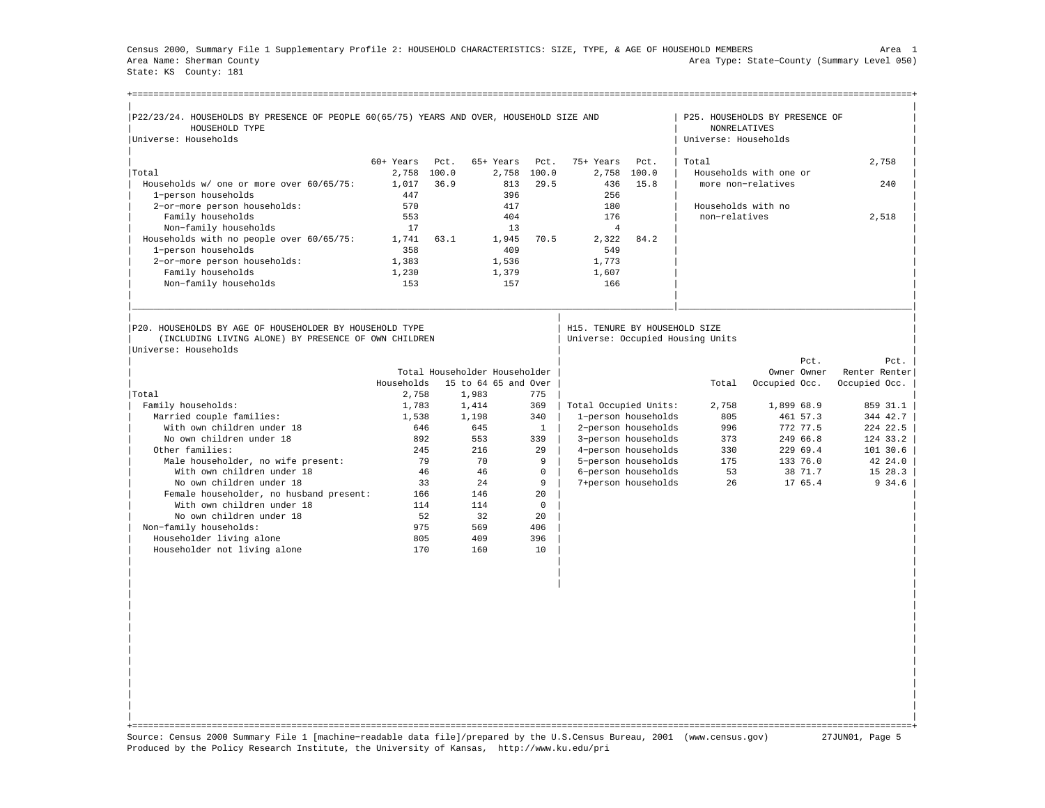Census 2000, Summary File 1 Supplementary Profile 2: HOUSEHOLD CHARACTERISTICS: SIZE, TYPE, & AGE OF HOUSEHOLD MEMBERS Area 1 Area Name: Sherman County Area Type: State−County (Summary Level 050) State: KS County: 181

| P22/23/24. HOUSEHOLDS BY PRESENCE OF PEOPLE 60(65/75) YEARS AND OVER, HOUSEHOLD SIZE AND                        |             |                               |                      |              |                                  |                     |                                             | P25. HOUSEHOLDS BY PRESENCE OF |               |
|-----------------------------------------------------------------------------------------------------------------|-------------|-------------------------------|----------------------|--------------|----------------------------------|---------------------|---------------------------------------------|--------------------------------|---------------|
| HOUSEHOLD TYPE<br>Universe: Households                                                                          |             |                               |                      |              |                                  |                     | <b>NONRELATIVES</b><br>Universe: Households |                                |               |
|                                                                                                                 |             |                               |                      |              |                                  |                     |                                             |                                |               |
|                                                                                                                 | $60+$ Years | Pct.                          | 65+ Years            | Pct.         | 75+ Years                        | Pct.                | Total                                       |                                | 2,758         |
| Total                                                                                                           | 2,758       | 100.0                         | 2,758                | 100.0        | 2,758                            | 100.0               |                                             | Households with one or         |               |
| Households w/ one or more over 60/65/75:                                                                        | 1,017       | 36.9                          | 813                  | 29.5         | 436                              | 15.8                |                                             | more non-relatives             | 240           |
| 1-person households                                                                                             | 447         |                               | 396                  |              | 256                              |                     |                                             |                                |               |
| 2-or-more person households:                                                                                    | 570         |                               | 417                  |              | 180                              |                     | Households with no                          |                                |               |
| Family households                                                                                               | 553         |                               | 404                  |              | 176                              |                     | non-relatives                               |                                | 2,518         |
| Non-family households                                                                                           | 17          |                               | 13                   |              | $\overline{4}$                   |                     |                                             |                                |               |
| Households with no people over 60/65/75:                                                                        | 1,741       | 63.1                          | 1,945                | 70.5         | 2.322                            | 84.2                |                                             |                                |               |
| 1-person households                                                                                             | 358         |                               | 409                  |              | 549                              |                     |                                             |                                |               |
| 2-or-more person households:                                                                                    | 1,383       |                               | 1,536                |              | 1,773                            |                     |                                             |                                |               |
| Family households                                                                                               | 1,230       |                               | 1,379                |              | 1,607                            |                     |                                             |                                |               |
| Non-family households                                                                                           | 153         |                               | 157                  |              | 166                              |                     |                                             |                                |               |
|                                                                                                                 |             |                               |                      |              |                                  |                     |                                             |                                |               |
| P20. HOUSEHOLDS BY AGE OF HOUSEHOLDER BY HOUSEHOLD TYPE<br>(INCLUDING LIVING ALONE) BY PRESENCE OF OWN CHILDREN |             |                               |                      |              | H15. TENURE BY HOUSEHOLD SIZE    |                     |                                             |                                |               |
| Universe: Households                                                                                            |             |                               |                      |              | Universe: Occupied Housing Units |                     |                                             |                                |               |
|                                                                                                                 |             |                               |                      |              |                                  |                     |                                             |                                | Pct.<br>Pct.  |
|                                                                                                                 |             | Total Householder Householder |                      |              |                                  |                     |                                             | Owner Owner                    | Renter Renter |
|                                                                                                                 | Households  |                               | 15 to 64 65 and Over |              |                                  |                     | Total                                       | Occupied Occ.                  | Occupied Occ. |
| Total                                                                                                           | 2,758       | 1,983                         |                      | 775          |                                  |                     |                                             |                                |               |
| Family households:                                                                                              | 1,783       | 1,414                         |                      | 369          | Total Occupied Units:            |                     | 2,758                                       | 1,899 68.9                     | 859 31.1      |
| Married couple families:                                                                                        | 1,538       | 1,198                         |                      | 340          |                                  | 1-person households | 805                                         | 461 57.3                       | 344 42.7      |
| With own children under 18                                                                                      | 646         |                               | 645                  | <sup>1</sup> |                                  | 2-person households | 996                                         | 772 77.5                       | 224 22.5      |
| No own children under 18                                                                                        | 892         | 553                           |                      | 339          |                                  | 3-person households | 373                                         | 249 66.8                       | 124 33.2      |
| Other families:                                                                                                 | 245         |                               | 216                  | 29           |                                  | 4-person households | 330                                         | 229 69.4                       | 101 30.6      |
| Male householder, no wife present:                                                                              | 79          |                               | 70                   | 9            |                                  | 5-person households | 175                                         | 133 76.0                       | 42 24.0       |
| With own children under 18                                                                                      | 46          |                               | 46                   | 0            |                                  | 6-person households | 53                                          | 38 71.7                        | 15 28.3       |
| No own children under 18                                                                                        | 33          |                               | 24                   | 9            |                                  | 7+person households | 2.6                                         | 17 65.4                        | 9 34.6        |
| Female householder, no husband present:                                                                         | 166         | 146                           |                      | 20           |                                  |                     |                                             |                                |               |
| With own children under 18                                                                                      | 114         | 114                           |                      | $\mathbf 0$  |                                  |                     |                                             |                                |               |
| No own children under 18                                                                                        | 52          |                               | 32                   | 20           |                                  |                     |                                             |                                |               |
| Non-family households:                                                                                          | 975         |                               | 569                  | 406          |                                  |                     |                                             |                                |               |
| Householder living alone                                                                                        | 805<br>170  | 160                           | 409                  | 396<br>10    |                                  |                     |                                             |                                |               |
| Householder not living alone                                                                                    |             |                               |                      |              |                                  |                     |                                             |                                |               |
|                                                                                                                 |             |                               |                      |              |                                  |                     |                                             |                                |               |

| | +===================================================================================================================================================+ Source: Census 2000 Summary File 1 [machine−readable data file]/prepared by the U.S.Census Bureau, 2001 (www.census.gov) 27JUN01, Page 5 Produced by the Policy Research Institute, the University of Kansas, http://www.ku.edu/pri

| | | | | | | | | | | | | | | | | | | | | |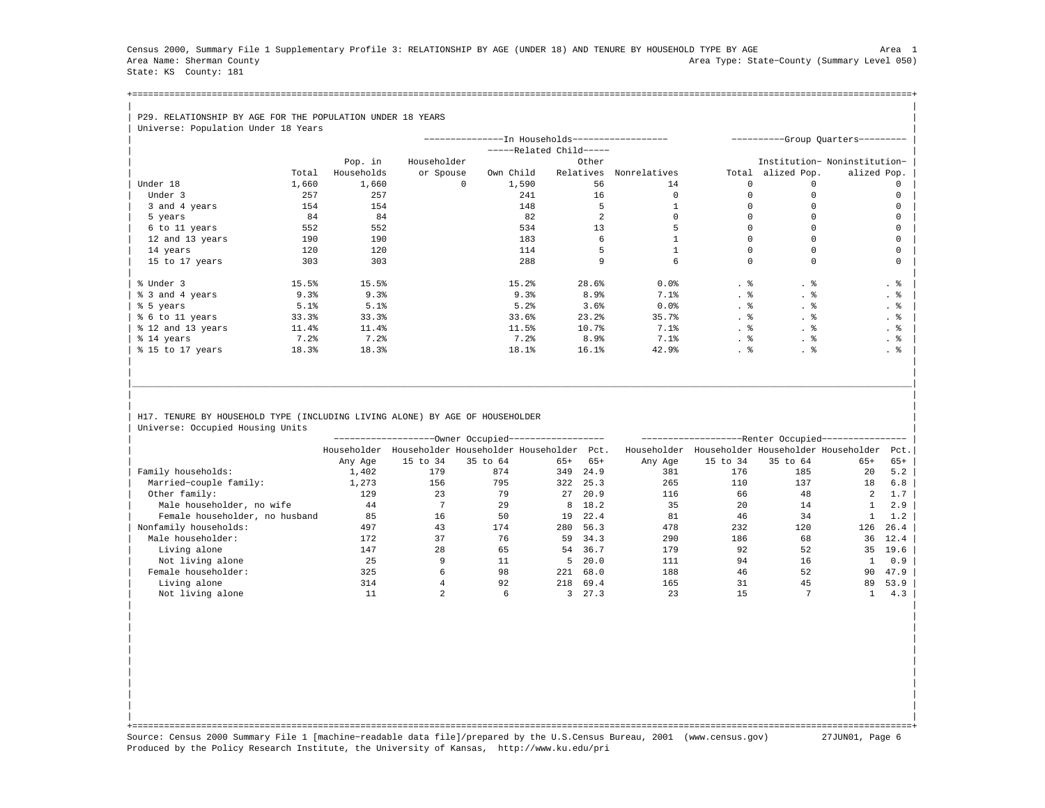Census 2000, Summary File 1 Supplementary Profile 3: RELATIONSHIP BY AGE (UNDER 18) AND TENURE BY HOUSEHOLD TYPE BY AGE Area 1 Area Name: Sherman County Area Type: State−County (Summary Level 050) State: KS County: 181

+===================================================================================================================================================+| |

## | P29. RELATIONSHIP BY AGE FOR THE POPULATION UNDER 18 YEARS

| Universe: Population Under 18 Years |       |            |             |                                                |                       |              |       |              |                                   |
|-------------------------------------|-------|------------|-------------|------------------------------------------------|-----------------------|--------------|-------|--------------|-----------------------------------|
|                                     |       |            |             | ---------------In Households------------------ |                       |              |       |              | ----------Group Quarters--------- |
|                                     |       |            |             |                                                | $---Related Child---$ |              |       |              |                                   |
|                                     |       | Pop. in    | Householder |                                                | Other                 |              |       |              | Institution- Noninstitution-      |
|                                     | Total | Households | or Spouse   | Own Child                                      | Relatives             | Nonrelatives | Total | alized Pop.  | alized Pop.                       |
| Under 18                            | 1,660 | 1,660      | $\Omega$    | 1,590                                          | 56                    | 14           | n     | <sup>n</sup> |                                   |
| Under 3                             | 257   | 257        |             | 241                                            | 16                    |              |       |              |                                   |
| 3 and 4 years                       | 154   | 154        |             | 148                                            |                       |              |       |              |                                   |
| 5 years                             | 84    | 84         |             | 82                                             |                       |              |       |              |                                   |
| 6 to 11 years                       | 552   | 552        |             | 534                                            | 13                    |              |       |              |                                   |
| 12 and 13 years                     | 190   | 190        |             | 183                                            |                       |              |       |              |                                   |
| 14 years                            | 120   | 120        |             | 114                                            |                       |              |       |              |                                   |
| 15 to 17 years                      | 303   | 303        |             | 288                                            | q                     |              |       | $\Omega$     |                                   |
|                                     |       |            |             |                                                |                       |              |       |              |                                   |
| % Under 3                           | 15.5% | 15.5%      |             | 15.2%                                          | 28.6%                 | $0.0$ $%$    | . 응   | . 응          | . 응                               |
| % 3 and 4 years                     | 9.3%  | 9.3%       |             | 9.3%                                           | 8.9%                  | 7.1%         | . 응   |              | . 응                               |
| % 5 years                           | 5.1%  | 5.1%       |             | 5.2%                                           | 3.6%                  | 0.0%         | . 응   | . ક          | . 응                               |
| % 6 to 11 years                     | 33.3% | 33.3%      |             | 33.6%                                          | 23.2%                 | 35.7%        | . 응   | . 응          | . 응                               |
| % 12 and 13 years                   | 11.4% | 11.4%      |             | 11.5%                                          | 10.7%                 | 7.1%         | . 응   | . 응          | . 응                               |
| % 14 years                          | 7.2%  | 7.2%       |             | $7.2$ $%$                                      | 8.9 <sub>8</sub>      | 7.1%         |       | . 응          | $\cdot$ %                         |
| % 15 to 17 years                    | 18.3% | 18.3%      |             | 18.1%                                          | 16.1%                 | 42.9%        | . 응   | . 응          | . 응                               |
|                                     |       |            |             |                                                |                       |              |       |              |                                   |

## H17. TENURE BY HOUSEHOLD TYPE (INCLUDING LIVING ALONE) BY AGE OF HOUSEHOLDER Universe: Occupied Housing Units

|                                |             |          | -Owner Occupied------------------   |       |         |             |          | -Renter Occupied- |                                     |      |
|--------------------------------|-------------|----------|-------------------------------------|-------|---------|-------------|----------|-------------------|-------------------------------------|------|
|                                | Householder |          | Householder Householder Householder |       | Pct.    | Householder |          |                   | Householder Householder Householder | Pct. |
|                                | Any Age     | 15 to 34 | 35 to 64                            | $65+$ | $65+$   | Any Age     | 15 to 34 | 35 to 64          | $65+$                               | 65+  |
| Family households:             | 1,402       | 179      | 874                                 | 349   | 24.9    | 381         | 176      | 185               | 20                                  | 5.2  |
| Married-couple family:         | 1,273       | 156      | 795                                 | 322   | 25.3    | 265         | 110      | 137               | 18                                  | 6.8  |
| Other family:                  | 129         | 23       | 79                                  | 27    | 20.9    | 116         | 66       | 48                | 2                                   |      |
| Male householder, no wife      | 44          |          | 29                                  |       | 8 18.2  | 35          | 20       | 14                |                                     | 2.9  |
| Female householder, no husband | 85          | 16       | 50                                  | 19    | 22.4    | 81          | 46       | 34                |                                     | 1.2  |
| Nonfamily households:          | 497         | 43       | 174                                 | 280   | 56.3    | 478         | 232      | 120               | 126                                 | 26.4 |
| Male householder:              | 172         | 37       | 76                                  | 59    | 34.3    | 290         | 186      | 68                | 36                                  | 12.4 |
| Living alone                   | 147         | 28       | 65                                  | 54    | 36.7    | 179         | 92       | 52                | 35                                  | 19.6 |
| Not living alone               | 25          |          | 11                                  |       | 5, 20.0 | 111         | 94       | 16                |                                     | 0.9  |
| Female householder:            | 325         |          | 98                                  | 221   | 68.0    | 188         | 46       | 52                | 90                                  | 47.9 |
| Living alone                   | 314         |          | 92                                  | 218   | 69.4    | 165         | 31       | 45                | 89                                  | 53.9 |
| Not living alone               |             |          |                                     |       | 27.3    | 23          | 15       |                   |                                     | 4.3  |

| | | | | | | | | | | | | | | | | | | |

|\_\_\_\_\_\_\_\_\_\_\_\_\_\_\_\_\_\_\_\_\_\_\_\_\_\_\_\_\_\_\_\_\_\_\_\_\_\_\_\_\_\_\_\_\_\_\_\_\_\_\_\_\_\_\_\_\_\_\_\_\_\_\_\_\_\_\_\_\_\_\_\_\_\_\_\_\_\_\_\_\_\_\_\_\_\_\_\_\_\_\_\_\_\_\_\_\_\_\_\_\_\_\_\_\_\_\_\_\_\_\_\_\_\_\_\_\_\_\_\_\_\_\_\_\_\_\_\_\_\_\_\_\_\_\_\_\_\_\_\_\_\_\_\_\_\_\_| | | | |

| | +===================================================================================================================================================+ Source: Census 2000 Summary File 1 [machine−readable data file]/prepared by the U.S.Census Bureau, 2001 (www.census.gov) 27JUN01, Page 6 Produced by the Policy Research Institute, the University of Kansas, http://www.ku.edu/pri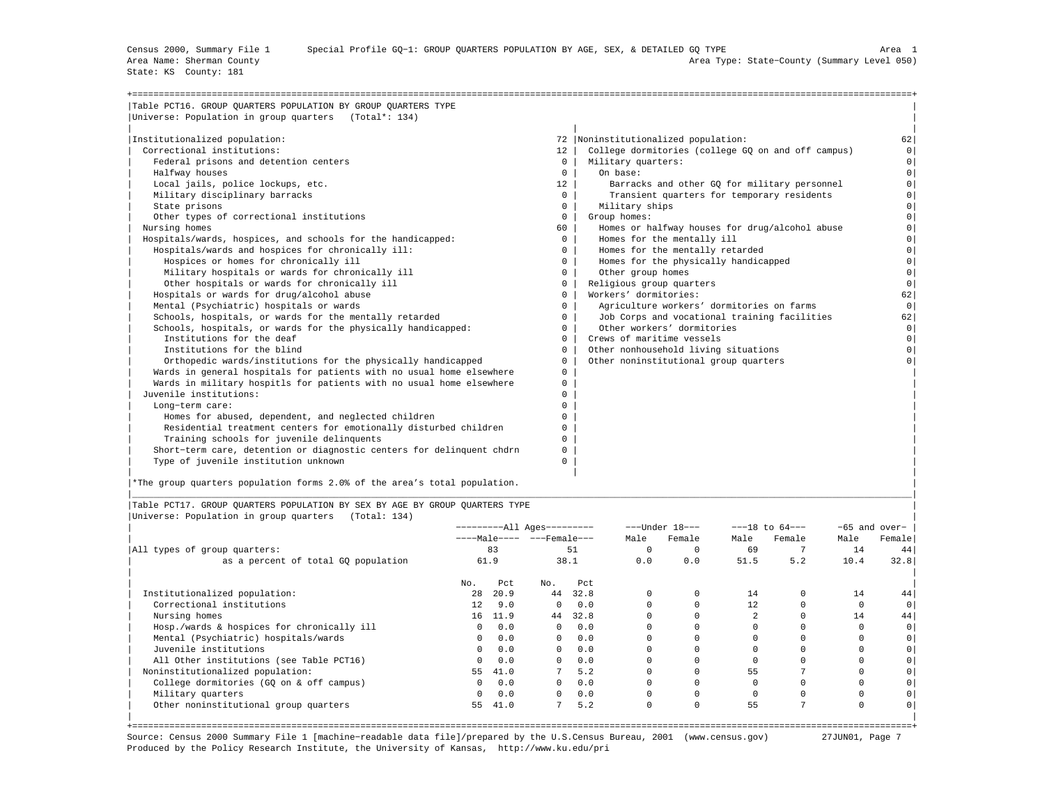State: KS County: 181

| Table PCT16. GROUP OUARTERS POPULATION BY GROUP OUARTERS TYPE<br>Universe: Population in group quarters (Total*: 134) |              |                                                    |          |
|-----------------------------------------------------------------------------------------------------------------------|--------------|----------------------------------------------------|----------|
|                                                                                                                       |              |                                                    |          |
| Institutionalized population:                                                                                         |              | 72  Noninstitutionalized population:               | 62       |
| Correctional institutions:                                                                                            | 12           | College dormitories (college GQ on and off campus) | $\Omega$ |
| Federal prisons and detention centers                                                                                 | $\mathbf{0}$ | Military quarters:                                 | $\circ$  |
| Halfway houses                                                                                                        | $\mathbf{0}$ | On base:                                           | $\Omega$ |
| Local jails, police lockups, etc.                                                                                     | 12           | Barracks and other GO for military personnel       | $\Omega$ |
| Military disciplinary barracks                                                                                        | $\Omega$     | Transient quarters for temporary residents         | $\circ$  |
| State prisons                                                                                                         | $\Omega$     | Military ships                                     | $\Omega$ |
| Other types of correctional institutions                                                                              | $\mathbf{0}$ | Group homes:                                       | $\Omega$ |
| Nursing homes                                                                                                         | 60           | Homes or halfway houses for drug/alcohol abuse     | $\Omega$ |
| Hospitals/wards, hospices, and schools for the handicapped:                                                           | $\Omega$     | Homes for the mentally ill                         | $\Omega$ |
| Hospitals/wards and hospices for chronically ill:                                                                     | $\Omega$     | Homes for the mentally retarded                    | $\Omega$ |
| Hospices or homes for chronically ill                                                                                 | $^{\circ}$   | Homes for the physically handicapped               | $\Omega$ |
| Military hospitals or wards for chronically ill                                                                       | 0            | Other group homes                                  | $\circ$  |
| Other hospitals or wards for chronically ill                                                                          | $^{\circ}$   | Religious group quarters                           | $\Omega$ |
| Hospitals or wards for drug/alcohol abuse                                                                             | $\Omega$     | Workers' dormitories:                              | 62       |
| Mental (Psychiatric) hospitals or wards                                                                               | $\Omega$     | Agriculture workers' dormitories on farms          | $\circ$  |
| Schools, hospitals, or wards for the mentally retarded                                                                | $\Omega$     | Job Corps and vocational training facilities       | 62       |
| Schools, hospitals, or wards for the physically handicapped:                                                          | $\Omega$     | Other workers' dormitories                         | $\circ$  |
| Institutions for the deaf                                                                                             | $^{\circ}$   | Crews of maritime vessels                          | $\circ$  |
| Institutions for the blind                                                                                            | $\Omega$     | Other nonhousehold living situations               | $\Omega$ |
| Orthopedic wards/institutions for the physically handicapped                                                          | 0            | Other noninstitutional group quarters              |          |
| Wards in general hospitals for patients with no usual home elsewhere                                                  | $^{\circ}$   |                                                    |          |
| Wards in military hospitls for patients with no usual home elsewhere                                                  | 0            |                                                    |          |
| Juvenile institutions:                                                                                                | n.           |                                                    |          |
| Long-term care:                                                                                                       |              |                                                    |          |
| Homes for abused, dependent, and neglected children                                                                   | U            |                                                    |          |
| Residential treatment centers for emotionally disturbed children                                                      |              |                                                    |          |
| Training schools for juvenile delinquents                                                                             | U            |                                                    |          |
| Short-term care, detention or diagnostic centers for delinquent chdrn                                                 | U            |                                                    |          |
| Type of juvenile institution unknown                                                                                  | U            |                                                    |          |

|\*The group quarters population forms 2.0% of the area's total population. |

|Table PCT17. GROUP QUARTERS POPULATION BY SEX BY AGE BY GROUP QUARTERS TYPE | |Universe: Population in group quarters (Total: 134) |

|                                            |         | ----------All Ages--------- |                           |      |          | $---Under 18---$ |          | $---18$ to $64---$ | $-65$ and over- |        |  |
|--------------------------------------------|---------|-----------------------------|---------------------------|------|----------|------------------|----------|--------------------|-----------------|--------|--|
|                                            |         |                             | ----Male---- ---Female--- |      | Male     | Female           | Male     | Female             | Male            | Female |  |
| All types of group quarters:               |         | 83                          |                           | 51   | $\Omega$ |                  | 69       |                    | 14              | 44     |  |
| as a percent of total GQ population        |         | 61.9                        |                           | 38.1 | 0.0      | 0.0              | 51.5     | 5.2                | 10.4            | 32.8   |  |
|                                            | No.     | Pct                         | No.                       | Pct  |          |                  |          |                    |                 |        |  |
| Institutionalized population:              | 28      | 20.9                        | 44                        | 32.8 | $\Omega$ |                  | 14       |                    | 14              | 44     |  |
| Correctional institutions                  | 12      | 9.0                         | $\Omega$                  | 0.0  | $\Omega$ |                  | 12       |                    |                 |        |  |
| Nursing homes                              | 16      | 11.9                        | 44                        | 32.8 |          |                  |          |                    | 14              | 44     |  |
| Hosp./wards & hospices for chronically ill | $\circ$ | 0.0                         | $\circ$                   | 0.0  | $\Omega$ |                  |          |                    |                 |        |  |
| Mental (Psychiatric) hospitals/wards       | 0       | 0.0                         | $\Omega$                  | 0.0  |          |                  |          |                    |                 |        |  |
| Juvenile institutions                      | $\circ$ | 0.0                         | $\Omega$                  | 0.0  |          |                  |          |                    |                 |        |  |
| All Other institutions (see Table PCT16)   | $\circ$ | 0.0                         | $\Omega$                  | 0.0  |          |                  |          |                    |                 |        |  |
| Noninstitutionalized population:           | 55      | 41.0                        |                           | 5.2  |          |                  | 55       |                    |                 |        |  |
| College dormitories (GQ on & off campus)   | $\circ$ | 0.0                         | $\Omega$                  | 0.0  | $\Omega$ |                  | $\Omega$ |                    |                 |        |  |
| Military quarters                          | 0       | 0.0                         | $\mathbf{0}$              | 0.0  | $\Omega$ |                  |          |                    |                 |        |  |
| Other noninstitutional group quarters      | 55      | 41.0                        | 7                         | 5.2  | 0        | $\Omega$         | 55       |                    | $\Omega$        |        |  |
|                                            |         |                             |                           |      |          |                  |          |                    |                 |        |  |

|\_\_\_\_\_\_\_\_\_\_\_\_\_\_\_\_\_\_\_\_\_\_\_\_\_\_\_\_\_\_\_\_\_\_\_\_\_\_\_\_\_\_\_\_\_\_\_\_\_\_\_\_\_\_\_\_\_\_\_\_\_\_\_\_\_\_\_\_\_\_\_\_\_\_\_\_\_\_\_\_\_\_\_\_\_\_\_\_\_\_\_\_\_\_\_\_\_\_\_\_\_\_\_\_\_\_\_\_\_\_\_\_\_\_\_\_\_\_\_\_\_\_\_\_\_\_\_\_\_\_\_\_\_\_\_\_\_\_\_\_\_\_\_\_\_\_\_|

+===================================================================================================================================================+ Source: Census 2000 Summary File 1 [machine−readable data file]/prepared by the U.S.Census Bureau, 2001 (www.census.gov) 27JUN01, Page 7 Produced by the Policy Research Institute, the University of Kansas, http://www.ku.edu/pri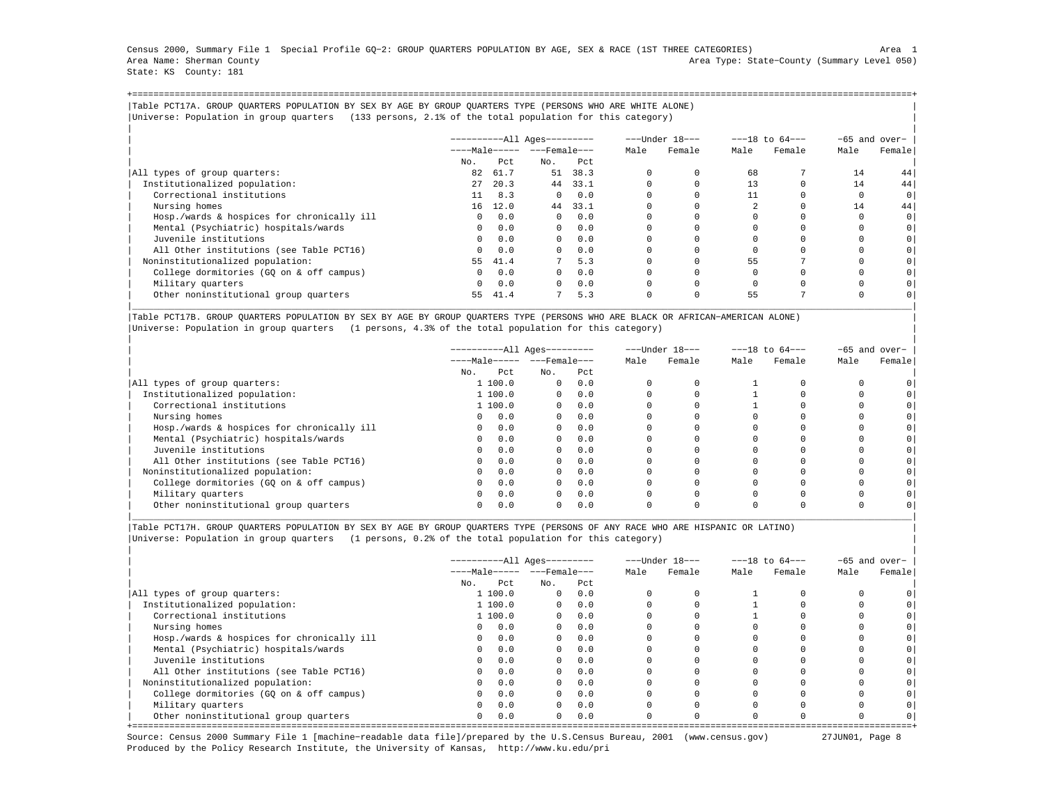Census 2000, Summary File 1 Special Profile GQ−2: GROUP QUARTERS POPULATION BY AGE, SEX & RACE (1ST THREE CATEGORIES) Area 1 Area Name: Sherman County Area Type: State−County (Summary Level 050) State: KS County: 181

+===================================================================================================================================================+|Table PCT17A. GROUP QUARTERS POPULATION BY SEX BY AGE BY GROUP QUARTERS TYPE (PERSONS WHO ARE WHITE ALONE) | |Universe: Population in group quarters (133 persons, 2.1% of the total population for this category) |

|                                            |                       |      | $------All Aqes------$ |            |      | ---Under 18--- | $---18$ to $64---$ |        | -65 and over- |                |
|--------------------------------------------|-----------------------|------|------------------------|------------|------|----------------|--------------------|--------|---------------|----------------|
|                                            | $---Male--- - -Frame$ |      |                        |            | Male | Female         | Male               | Female | Male          | Female         |
|                                            | No.                   | Pct  | No.                    | Pct        |      |                |                    |        |               |                |
| All types of group quarters:               | 82                    | 61.7 | 51                     | 38.3       |      |                | 68                 |        | 14            | 44             |
| Institutionalized population:              | 27                    | 20.3 |                        | 44 33.1    |      |                | 13                 |        | 14            | 44             |
| Correctional institutions                  | 11                    | 8.3  | $\Omega$               | 0.0        |      |                | 11                 |        |               | 0 <sup>1</sup> |
| Nursing homes                              | 16                    | 12.0 | 44                     | 33.1       |      |                |                    |        | 14            | 44             |
| Hosp./wards & hospices for chronically ill | $\Omega$              | 0.0  | $\Omega$               | 0.0        |      |                |                    |        |               | $\circ$        |
| Mental (Psychiatric) hospitals/wards       | $\Omega$              | 0.0  |                        | $0 \t 0.0$ |      |                |                    |        |               | 0              |
| Juvenile institutions                      | $\Omega$              | 0.0  | $\Omega$               | 0.0        |      |                |                    |        |               |                |
| All Other institutions (see Table PCT16)   | $\Omega$              | 0.0  | $\Omega$               | 0.0        |      |                |                    |        |               |                |
| Noninstitutionalized population:           | 55                    | 41.4 | 7                      | 5.3        |      |                | 55                 |        |               |                |
| College dormitories (GO on & off campus)   | $\mathbf{0}$          | 0.0  | $\Omega$               | 0.0        |      |                |                    |        |               |                |
| Military quarters                          | $\Omega$              | 0.0  | $\Omega$               | 0.0        |      |                |                    |        |               |                |
| Other noninstitutional group quarters      | 55                    | 41.4 |                        | 5.3        |      |                | 55                 |        |               |                |

|Table PCT17B. GROUP QUARTERS POPULATION BY SEX BY AGE BY GROUP QUARTERS TYPE (PERSONS WHO ARE BLACK OR AFRICAN−AMERICAN ALONE) | |Universe: Population in group quarters (1 persons, 4.3% of the total population for this category) |

|                                            | ----------All Ages---------  |              |                       |      | ---Under 18--- | $---18$ to $64---$ |        |      | -65 and over- |
|--------------------------------------------|------------------------------|--------------|-----------------------|------|----------------|--------------------|--------|------|---------------|
|                                            | $---Male--- - - - Female---$ |              |                       | Male | Female         | Male               | Female | Male | Female        |
|                                            | No.<br>Pct                   | No.          | Pct                   |      |                |                    |        |      |               |
| All types of group quarters:               | 1 100.0                      | $\mathbf{0}$ | 0.0                   |      |                |                    |        |      |               |
| Institutionalized population:              | 1,100.0                      | $\Omega$     | 0.0                   |      |                |                    |        |      |               |
| Correctional institutions                  | 1,100.0                      |              | 0.0<br>$\overline{0}$ |      |                |                    |        |      |               |
| Nursing homes                              | 0.0<br>$\Omega$              | $\Omega$     | 0.0                   |      |                |                    |        |      |               |
| Hosp./wards & hospices for chronically ill | 0.0<br>$\Omega$              | $\Omega$     | 0.0                   |      |                |                    |        |      |               |
| Mental (Psychiatric) hospitals/wards       | 0.0<br>$\Omega$              |              | 0.0<br>$\overline{0}$ |      |                |                    |        |      |               |
| Juvenile institutions                      | 0.0                          | $\Omega$     | 0.0                   |      |                |                    |        |      |               |
| All Other institutions (see Table PCT16)   | 0.0                          | $\Omega$     | 0.0                   |      |                |                    |        |      |               |
| Noninstitutionalized population:           | 0.0<br>$\Omega$              |              | 0.0<br>$\Omega$       |      |                |                    |        |      |               |
| College dormitories (GO on & off campus)   | 0.0                          | $\Omega$     | 0.0                   |      |                |                    |        |      |               |
| Military quarters                          | 0.0                          | $\Omega$     | 0.0                   |      |                |                    |        |      |               |
| Other noninstitutional group quarters      | 0.0                          | $\Omega$     | 0.0                   |      |                |                    |        |      |               |

|\_\_\_\_\_\_\_\_\_\_\_\_\_\_\_\_\_\_\_\_\_\_\_\_\_\_\_\_\_\_\_\_\_\_\_\_\_\_\_\_\_\_\_\_\_\_\_\_\_\_\_\_\_\_\_\_\_\_\_\_\_\_\_\_\_\_\_\_\_\_\_\_\_\_\_\_\_\_\_\_\_\_\_\_\_\_\_\_\_\_\_\_\_\_\_\_\_\_\_\_\_\_\_\_\_\_\_\_\_\_\_\_\_\_\_\_\_\_\_\_\_\_\_\_\_\_\_\_\_\_\_\_\_\_\_\_\_\_\_\_\_\_\_\_\_\_\_|

|Table PCT17H. GROUP QUARTERS POPULATION BY SEX BY AGE BY GROUP QUARTERS TYPE (PERSONS OF ANY RACE WHO ARE HISPANIC OR LATINO) | |Universe: Population in group quarters (1 persons, 0.2% of the total population for this category) |

|                                            |                             | ----------All Ages--------- |          |      |      | ---Under 18--- |      | $---18$ to $64---$ |      | $-65$ and over- |
|--------------------------------------------|-----------------------------|-----------------------------|----------|------|------|----------------|------|--------------------|------|-----------------|
|                                            | $---Male--- - -}-Female---$ |                             |          |      | Male | Female         | Male | Female             | Male | Female          |
|                                            | No.                         | Pct.                        | No.      | Pct. |      |                |      |                    |      |                 |
| All types of group quarters:               |                             | 1100.0                      | $\Omega$ | 0.0  |      |                |      |                    |      |                 |
| Institutionalized population:              |                             | 1100.0                      | $\Omega$ | 0.0  |      |                |      |                    |      |                 |
| Correctional institutions                  |                             | 1 100.0                     | $\Omega$ | 0.0  |      |                |      |                    |      |                 |
| Nursing homes                              | $\Omega$                    | 0.0                         | $\Omega$ | 0.0  |      |                |      |                    |      |                 |
| Hosp./wards & hospices for chronically ill | $\Omega$                    | 0.0                         | $\Omega$ | 0.0  |      |                |      |                    |      |                 |
| Mental (Psychiatric) hospitals/wards       | $\Omega$                    | 0.0                         | $\Omega$ | 0.0  |      |                |      |                    |      |                 |
| Juvenile institutions                      | $\Omega$                    | 0.0                         | $\Omega$ | 0.0  |      |                |      |                    |      |                 |
| All Other institutions (see Table PCT16)   | $\mathbf{0}$                | 0.0                         | $\Omega$ | 0.0  |      |                |      |                    |      |                 |
| Noninstitutionalized population:           | $\Omega$                    | 0.0                         | $\Omega$ | 0.0  |      |                |      |                    |      |                 |
| College dormitories (GQ on & off campus)   | $\Omega$                    | 0.0                         | $\Omega$ | 0.0  |      |                |      |                    |      |                 |
| Military quarters                          | $\Omega$                    | 0.0                         | $\Omega$ | 0.0  |      |                |      |                    |      |                 |
| Other noninstitutional group quarters      | $\circ$                     | 0.0                         | $\Omega$ | 0.0  |      |                |      |                    |      |                 |

Source: Census 2000 Summary File 1 [machine−readable data file]/prepared by the U.S.Census Bureau, 2001 (www.census.gov) 27JUN01, Page 8 Produced by the Policy Research Institute, the University of Kansas, http://www.ku.edu/pri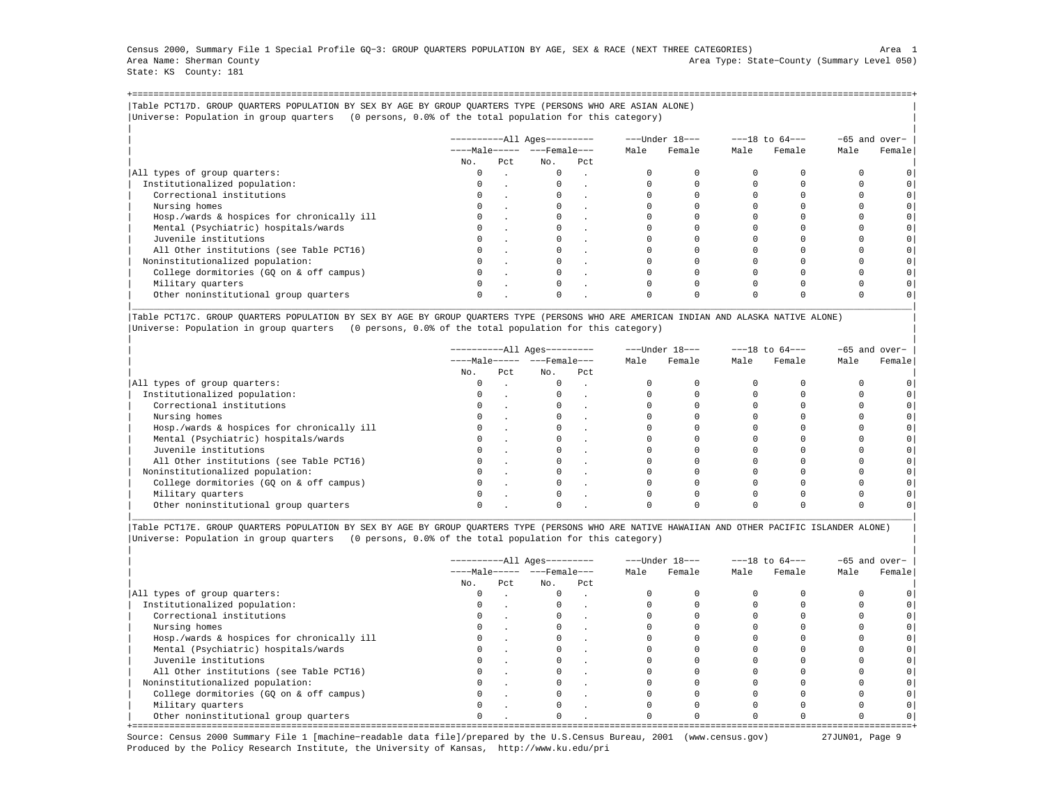Census 2000, Summary File 1 Special Profile GQ−3: GROUP QUARTERS POPULATION BY AGE, SEX & RACE (NEXT THREE CATEGORIES) Area 1 Area Name: Sherman County Area Type: State−County (Summary Level 050) State: KS County: 181

+===================================================================================================================================================+|Table PCT17D. GROUP QUARTERS POPULATION BY SEX BY AGE BY GROUP QUARTERS TYPE (PERSONS WHO ARE ASIAN ALONE) | |Universe: Population in group quarters (0 persons, 0.0% of the total population for this category) |

|                                            | $------All Aqes------$  |     |              |     |      | ---Under 18--- | $---18$ to $64---$ |        |      | -65 and over- |  |
|--------------------------------------------|-------------------------|-----|--------------|-----|------|----------------|--------------------|--------|------|---------------|--|
|                                            | $---Male--- - - Female$ |     |              |     | Male | Female         | Male               | Female | Male | Female        |  |
|                                            | No.                     | Pct | No.          | Pct |      |                |                    |        |      |               |  |
| All types of group quarters:               |                         |     | $\mathbf{0}$ |     |      |                |                    |        |      |               |  |
| Institutionalized population:              |                         |     |              |     |      |                |                    |        |      |               |  |
| Correctional institutions                  |                         |     |              |     |      |                |                    |        |      | $\circ$       |  |
| Nursing homes                              |                         |     |              |     |      |                |                    |        |      |               |  |
| Hosp./wards & hospices for chronically ill |                         |     |              |     |      |                |                    |        |      | $\circ$       |  |
| Mental (Psychiatric) hospitals/wards       |                         |     |              |     |      |                |                    |        |      | $\circ$       |  |
| Juvenile institutions                      |                         |     |              |     |      |                |                    |        |      | $\circ$       |  |
| All Other institutions (see Table PCT16)   |                         |     |              |     |      |                |                    |        |      |               |  |
| Noninstitutionalized population:           |                         |     |              |     |      |                |                    |        |      | $\circ$       |  |
| College dormitories (GO on & off campus)   |                         |     |              |     |      |                |                    |        |      | $\circ$       |  |
| Military quarters                          |                         |     | $\Omega$     |     |      |                |                    |        |      |               |  |
| Other noninstitutional group quarters      |                         |     |              |     |      |                |                    |        |      |               |  |

|Table PCT17C. GROUP QUARTERS POPULATION BY SEX BY AGE BY GROUP QUARTERS TYPE (PERSONS WHO ARE AMERICAN INDIAN AND ALASKA NATIVE ALONE) | |Universe: Population in group quarters (0 persons, 0.0% of the total population for this category) |

|                                            | ----------All Ages--------- |     |                                |        |      | ---Under 18---<br>$---18$ to $64---$ |      |        | $-65$ and over- |        |  |
|--------------------------------------------|-----------------------------|-----|--------------------------------|--------|------|--------------------------------------|------|--------|-----------------|--------|--|
|                                            |                             |     | $---Male--- -  ---$ Female --- |        | Male | Female                               | Male | Female | Male            | Female |  |
|                                            | No.                         | Pct | No.                            | Pct    |      |                                      |      |        |                 |        |  |
| All types of group quarters:               | 0                           |     | $\mathbf{0}$                   | $\sim$ |      |                                      |      |        |                 |        |  |
| Institutionalized population:              | 0                           |     |                                |        |      |                                      |      |        |                 |        |  |
| Correctional institutions                  | $\Omega$                    |     |                                |        |      |                                      |      |        |                 |        |  |
| Nursing homes                              |                             |     |                                |        |      |                                      |      |        |                 |        |  |
| Hosp./wards & hospices for chronically ill |                             |     |                                |        |      |                                      |      |        |                 |        |  |
| Mental (Psychiatric) hospitals/wards       |                             |     |                                |        |      |                                      |      |        |                 |        |  |
| Juvenile institutions                      | $\Omega$                    |     |                                |        |      |                                      |      |        |                 |        |  |
| All Other institutions (see Table PCT16)   |                             |     |                                |        |      |                                      |      |        |                 |        |  |
| Noninstitutionalized population:           |                             |     |                                |        |      |                                      |      |        |                 |        |  |
| College dormitories (GQ on & off campus)   |                             |     |                                |        |      |                                      |      |        |                 |        |  |
| Military quarters                          | $\Omega$                    |     |                                |        |      |                                      |      |        |                 |        |  |
| Other noninstitutional group quarters      |                             |     |                                |        |      |                                      |      |        |                 |        |  |

|Table PCT17E. GROUP QUARTERS POPULATION BY SEX BY AGE BY GROUP QUARTERS TYPE (PERSONS WHO ARE NATIVE HAWAIIAN AND OTHER PACIFIC ISLANDER ALONE) | |Universe: Population in group quarters (0 persons, 0.0% of the total population for this category) |

|                                            | ----------All Ages--------- |      |                             |        |      | ---Under 18--- | $---18$ to $64---$ |        | $-65$ and over- |        |
|--------------------------------------------|-----------------------------|------|-----------------------------|--------|------|----------------|--------------------|--------|-----------------|--------|
|                                            |                             |      | $---Male--- - -}-Female---$ |        | Male | Female         | Male               | Female | Male            | Female |
|                                            | No.                         | Pct. | No.                         | Pct    |      |                |                    |        |                 |        |
| All types of group quarters:               | $\Omega$                    |      | $\Omega$                    |        |      |                |                    |        |                 |        |
| Institutionalized population:              |                             |      | $^{\circ}$                  | $\sim$ |      |                |                    |        |                 |        |
| Correctional institutions                  |                             |      |                             |        |      |                |                    |        |                 |        |
| Nursing homes                              |                             |      |                             |        |      |                |                    |        |                 |        |
| Hosp./wards & hospices for chronically ill |                             |      | $^{\circ}$                  |        |      |                |                    |        |                 |        |
| Mental (Psychiatric) hospitals/wards       |                             |      |                             |        |      |                |                    |        |                 |        |
| Juvenile institutions                      |                             |      |                             |        |      |                |                    |        |                 |        |
| All Other institutions (see Table PCT16)   |                             |      |                             |        |      |                |                    |        |                 |        |
| Noninstitutionalized population:           |                             |      | $\Omega$                    |        |      |                |                    |        |                 |        |
| College dormitories (GQ on & off campus)   |                             |      |                             |        |      |                |                    |        |                 |        |
| Military quarters                          |                             |      |                             |        |      |                |                    |        |                 |        |
| Other noninstitutional group quarters      | $\Omega$                    |      | $\Omega$                    |        |      |                |                    |        |                 |        |

Source: Census 2000 Summary File 1 [machine−readable data file]/prepared by the U.S.Census Bureau, 2001 (www.census.gov) 27JUN01, Page 9 Produced by the Policy Research Institute, the University of Kansas, http://www.ku.edu/pri